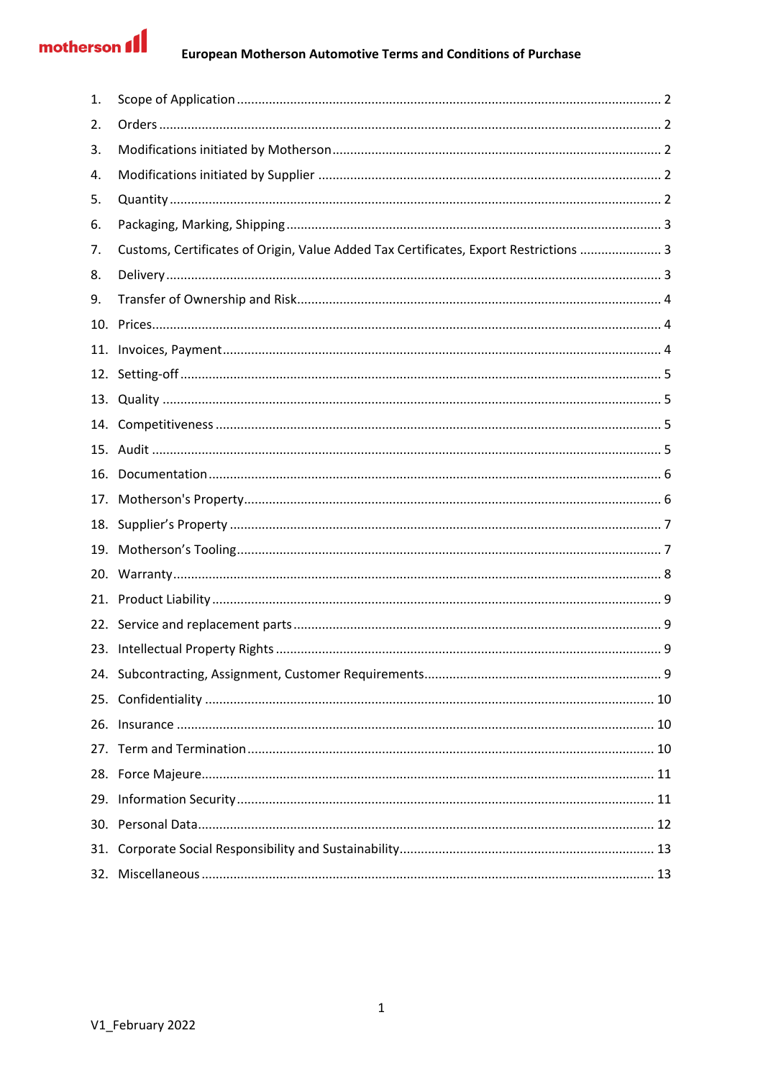# motherson **fl**

| 1.  |                                                                                       |
|-----|---------------------------------------------------------------------------------------|
| 2.  |                                                                                       |
| 3.  |                                                                                       |
| 4.  |                                                                                       |
| 5.  |                                                                                       |
| 6.  |                                                                                       |
| 7.  | Customs, Certificates of Origin, Value Added Tax Certificates, Export Restrictions  3 |
| 8.  |                                                                                       |
| 9.  |                                                                                       |
| 10. |                                                                                       |
| 11. |                                                                                       |
|     |                                                                                       |
|     |                                                                                       |
|     |                                                                                       |
|     |                                                                                       |
| 16. |                                                                                       |
| 17. |                                                                                       |
| 18. |                                                                                       |
| 19. |                                                                                       |
| 20. |                                                                                       |
| 21. |                                                                                       |
|     |                                                                                       |
| 23. |                                                                                       |
|     |                                                                                       |
|     |                                                                                       |
|     |                                                                                       |
|     |                                                                                       |
|     |                                                                                       |
|     |                                                                                       |
|     |                                                                                       |
| 31. |                                                                                       |
| 32. |                                                                                       |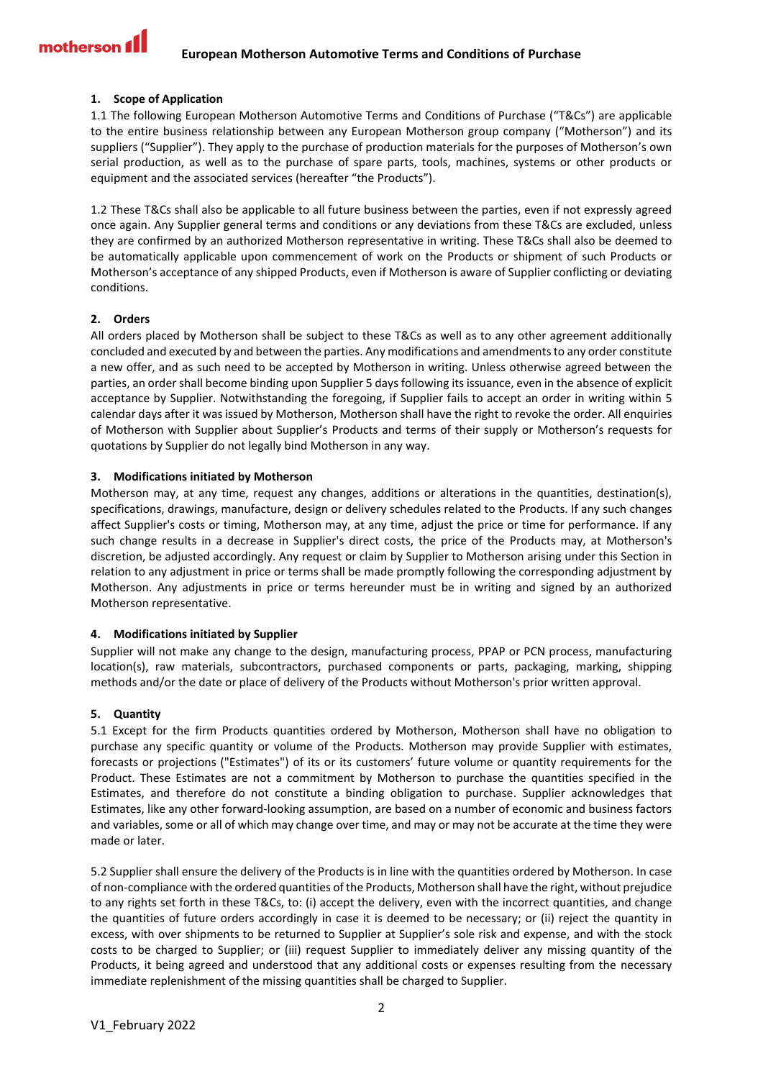## <span id="page-1-0"></span>**1. Scope of Application**

1.1 The following European Motherson Automotive Terms and Conditions of Purchase ("T&Cs") are applicable to the entire business relationship between any European Motherson group company ("Motherson") and its suppliers ("Supplier"). They apply to the purchase of production materials for the purposes of Motherson's own serial production, as well as to the purchase of spare parts, tools, machines, systems or other products or equipment and the associated services (hereafter "the Products").

1.2 These T&Cs shall also be applicable to all future business between the parties, even if not expressly agreed once again. Any Supplier general terms and conditions or any deviations from these T&Cs are excluded, unless they are confirmed by an authorized Motherson representative in writing. These T&Cs shall also be deemed to be automatically applicable upon commencement of work on the Products or shipment of such Products or Motherson's acceptance of any shipped Products, even if Motherson is aware of Supplier conflicting or deviating conditions.

## <span id="page-1-1"></span>**2. Orders**

All orders placed by Motherson shall be subject to these T&Cs as well as to any other agreement additionally concluded and executed by and between the parties. Any modifications and amendments to any order constitute a new offer, and as such need to be accepted by Motherson in writing. Unless otherwise agreed between the parties, an order shall become binding upon Supplier 5 days following its issuance, even in the absence of explicit acceptance by Supplier. Notwithstanding the foregoing, if Supplier fails to accept an order in writing within 5 calendar days after it was issued by Motherson, Motherson shall have the right to revoke the order. All enquiries of Motherson with Supplier about Supplier's Products and terms of their supply or Motherson's requests for quotations by Supplier do not legally bind Motherson in any way.

## <span id="page-1-2"></span>**3. Modifications initiated by Motherson**

Motherson may, at any time, request any changes, additions or alterations in the quantities, destination(s), specifications, drawings, manufacture, design or delivery schedules related to the Products. If any such changes affect Supplier's costs or timing, Motherson may, at any time, adjust the price or time for performance. If any such change results in a decrease in Supplier's direct costs, the price of the Products may, at Motherson's discretion, be adjusted accordingly. Any request or claim by Supplier to Motherson arising under this Section in relation to any adjustment in price or terms shall be made promptly following the corresponding adjustment by Motherson. Any adjustments in price or terms hereunder must be in writing and signed by an authorized Motherson representative.

## <span id="page-1-3"></span>**4. Modifications initiated by Supplier**

Supplier will not make any change to the design, manufacturing process, PPAP or PCN process, manufacturing location(s), raw materials, subcontractors, purchased components or parts, packaging, marking, shipping methods and/or the date or place of delivery of the Products without Motherson's prior written approval.

## <span id="page-1-4"></span>**5. Quantity**

5.1 Except for the firm Products quantities ordered by Motherson, Motherson shall have no obligation to purchase any specific quantity or volume of the Products. Motherson may provide Supplier with estimates, forecasts or projections ("Estimates") of its or its customers' future volume or quantity requirements for the Product. These Estimates are not a commitment by Motherson to purchase the quantities specified in the Estimates, and therefore do not constitute a binding obligation to purchase. Supplier acknowledges that Estimates, like any other forward-looking assumption, are based on a number of economic and business factors and variables, some or all of which may change over time, and may or may not be accurate at the time they were made or later.

5.2 Supplier shall ensure the delivery of the Products is in line with the quantities ordered by Motherson. In case of non-compliance with the ordered quantities of the Products, Motherson shall have the right, without prejudice to any rights set forth in these T&Cs, to: (i) accept the delivery, even with the incorrect quantities, and change the quantities of future orders accordingly in case it is deemed to be necessary; or (ii) reject the quantity in excess, with over shipments to be returned to Supplier at Supplier's sole risk and expense, and with the stock costs to be charged to Supplier; or (iii) request Supplier to immediately deliver any missing quantity of the Products, it being agreed and understood that any additional costs or expenses resulting from the necessary immediate replenishment of the missing quantities shall be charged to Supplier.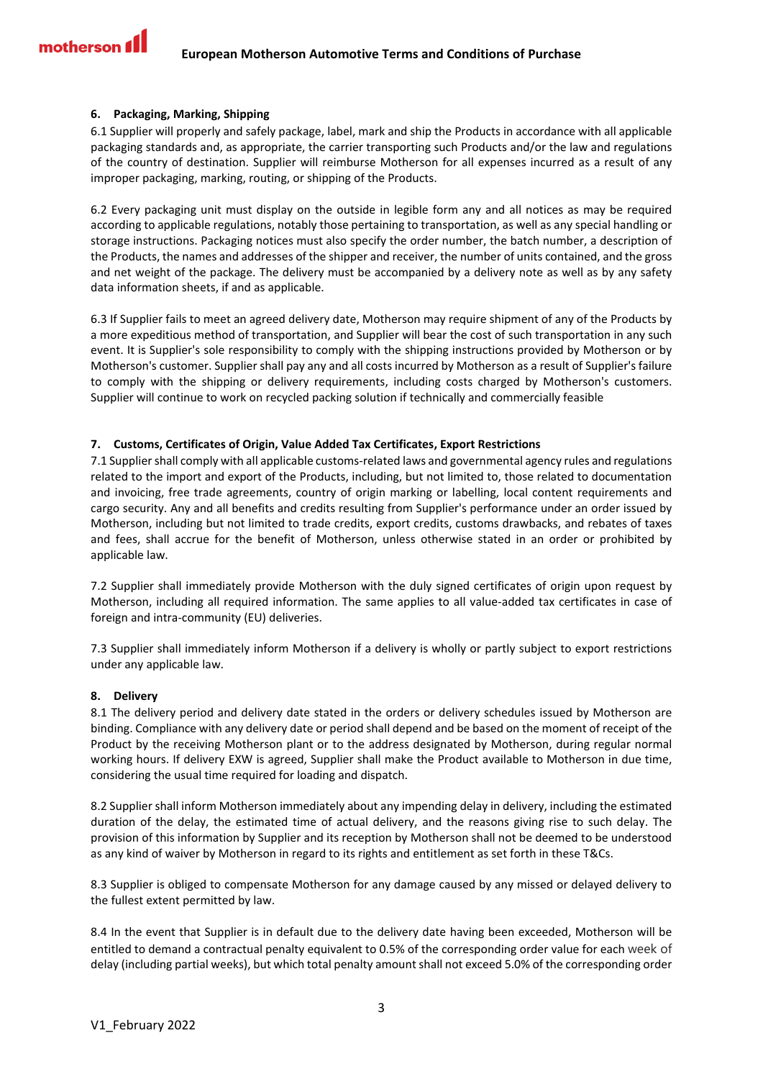## <span id="page-2-0"></span>**6. Packaging, Marking, Shipping**

6.1 Supplier will properly and safely package, label, mark and ship the Products in accordance with all applicable packaging standards and, as appropriate, the carrier transporting such Products and/or the law and regulations of the country of destination. Supplier will reimburse Motherson for all expenses incurred as a result of any improper packaging, marking, routing, or shipping of the Products.

6.2 Every packaging unit must display on the outside in legible form any and all notices as may be required according to applicable regulations, notably those pertaining to transportation, as well as any special handling or storage instructions. Packaging notices must also specify the order number, the batch number, a description of the Products, the names and addresses of the shipper and receiver, the number of units contained, and the gross and net weight of the package. The delivery must be accompanied by a delivery note as well as by any safety data information sheets, if and as applicable.

6.3 If Supplier fails to meet an agreed delivery date, Motherson may require shipment of any of the Products by a more expeditious method of transportation, and Supplier will bear the cost of such transportation in any such event. It is Supplier's sole responsibility to comply with the shipping instructions provided by Motherson or by Motherson's customer. Supplier shall pay any and all costs incurred by Motherson as a result of Supplier's failure to comply with the shipping or delivery requirements, including costs charged by Motherson's customers. Supplier will continue to work on recycled packing solution if technically and commercially feasible

## <span id="page-2-1"></span>**7. Customs, Certificates of Origin, Value Added Tax Certificates, Export Restrictions**

7.1 Supplier shall comply with all applicable customs-related laws and governmental agency rules and regulations related to the import and export of the Products, including, but not limited to, those related to documentation and invoicing, free trade agreements, country of origin marking or labelling, local content requirements and cargo security. Any and all benefits and credits resulting from Supplier's performance under an order issued by Motherson, including but not limited to trade credits, export credits, customs drawbacks, and rebates of taxes and fees, shall accrue for the benefit of Motherson, unless otherwise stated in an order or prohibited by applicable law.

7.2 Supplier shall immediately provide Motherson with the duly signed certificates of origin upon request by Motherson, including all required information. The same applies to all value-added tax certificates in case of foreign and intra-community (EU) deliveries.

7.3 Supplier shall immediately inform Motherson if a delivery is wholly or partly subject to export restrictions under any applicable law.

## <span id="page-2-2"></span>**8. Delivery**

8.1 The delivery period and delivery date stated in the orders or delivery schedules issued by Motherson are binding. Compliance with any delivery date or period shall depend and be based on the moment of receipt of the Product by the receiving Motherson plant or to the address designated by Motherson, during regular normal working hours. If delivery EXW is agreed, Supplier shall make the Product available to Motherson in due time, considering the usual time required for loading and dispatch.

8.2 Supplier shall inform Motherson immediately about any impending delay in delivery, including the estimated duration of the delay, the estimated time of actual delivery, and the reasons giving rise to such delay. The provision of this information by Supplier and its reception by Motherson shall not be deemed to be understood as any kind of waiver by Motherson in regard to its rights and entitlement as set forth in these T&Cs.

8.3 Supplier is obliged to compensate Motherson for any damage caused by any missed or delayed delivery to the fullest extent permitted by law.

8.4 In the event that Supplier is in default due to the delivery date having been exceeded, Motherson will be entitled to demand a contractual penalty equivalent to 0.5% of the corresponding order value for each week of delay (including partial weeks), but which total penalty amount shall not exceed 5.0% of the corresponding order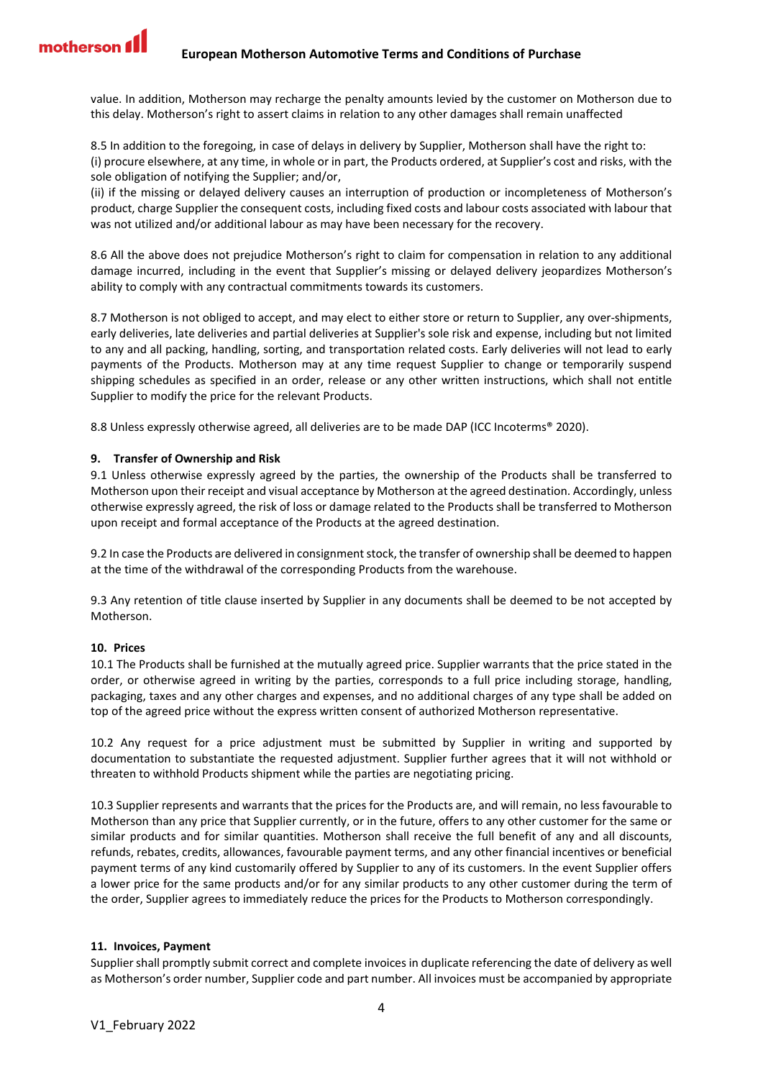value. In addition, Motherson may recharge the penalty amounts levied by the customer on Motherson due to this delay. Motherson's right to assert claims in relation to any other damages shall remain unaffected

8.5 In addition to the foregoing, in case of delays in delivery by Supplier, Motherson shall have the right to: (i) procure elsewhere, at any time, in whole or in part, the Products ordered, at Supplier's cost and risks, with the sole obligation of notifying the Supplier; and/or,

(ii) if the missing or delayed delivery causes an interruption of production or incompleteness of Motherson's product, charge Supplier the consequent costs, including fixed costs and labour costs associated with labour that was not utilized and/or additional labour as may have been necessary for the recovery.

8.6 All the above does not prejudice Motherson's right to claim for compensation in relation to any additional damage incurred, including in the event that Supplier's missing or delayed delivery jeopardizes Motherson's ability to comply with any contractual commitments towards its customers.

8.7 Motherson is not obliged to accept, and may elect to either store or return to Supplier, any over-shipments, early deliveries, late deliveries and partial deliveries at Supplier's sole risk and expense, including but not limited to any and all packing, handling, sorting, and transportation related costs. Early deliveries will not lead to early payments of the Products. Motherson may at any time request Supplier to change or temporarily suspend shipping schedules as specified in an order, release or any other written instructions, which shall not entitle Supplier to modify the price for the relevant Products.

8.8 Unless expressly otherwise agreed, all deliveries are to be made DAP (ICC Incoterms® 2020).

# <span id="page-3-0"></span>**9. Transfer of Ownership and Risk**

9.1 Unless otherwise expressly agreed by the parties, the ownership of the Products shall be transferred to Motherson upon their receipt and visual acceptance by Motherson at the agreed destination. Accordingly, unless otherwise expressly agreed, the risk of loss or damage related to the Products shall be transferred to Motherson upon receipt and formal acceptance of the Products at the agreed destination.

9.2 In case the Products are delivered in consignment stock, the transfer of ownership shall be deemed to happen at the time of the withdrawal of the corresponding Products from the warehouse.

9.3 Any retention of title clause inserted by Supplier in any documents shall be deemed to be not accepted by Motherson.

## <span id="page-3-1"></span>**10. Prices**

10.1 The Products shall be furnished at the mutually agreed price. Supplier warrants that the price stated in the order, or otherwise agreed in writing by the parties, corresponds to a full price including storage, handling, packaging, taxes and any other charges and expenses, and no additional charges of any type shall be added on top of the agreed price without the express written consent of authorized Motherson representative.

10.2 Any request for a price adjustment must be submitted by Supplier in writing and supported by documentation to substantiate the requested adjustment. Supplier further agrees that it will not withhold or threaten to withhold Products shipment while the parties are negotiating pricing.

10.3 Supplier represents and warrants that the prices for the Products are, and will remain, no less favourable to Motherson than any price that Supplier currently, or in the future, offers to any other customer for the same or similar products and for similar quantities. Motherson shall receive the full benefit of any and all discounts, refunds, rebates, credits, allowances, favourable payment terms, and any other financial incentives or beneficial payment terms of any kind customarily offered by Supplier to any of its customers. In the event Supplier offers a lower price for the same products and/or for any similar products to any other customer during the term of the order, Supplier agrees to immediately reduce the prices for the Products to Motherson correspondingly.

## <span id="page-3-2"></span>**11. Invoices, Payment**

Supplier shall promptly submit correct and complete invoices in duplicate referencing the date of delivery as well as Motherson's order number, Supplier code and part number. All invoices must be accompanied by appropriate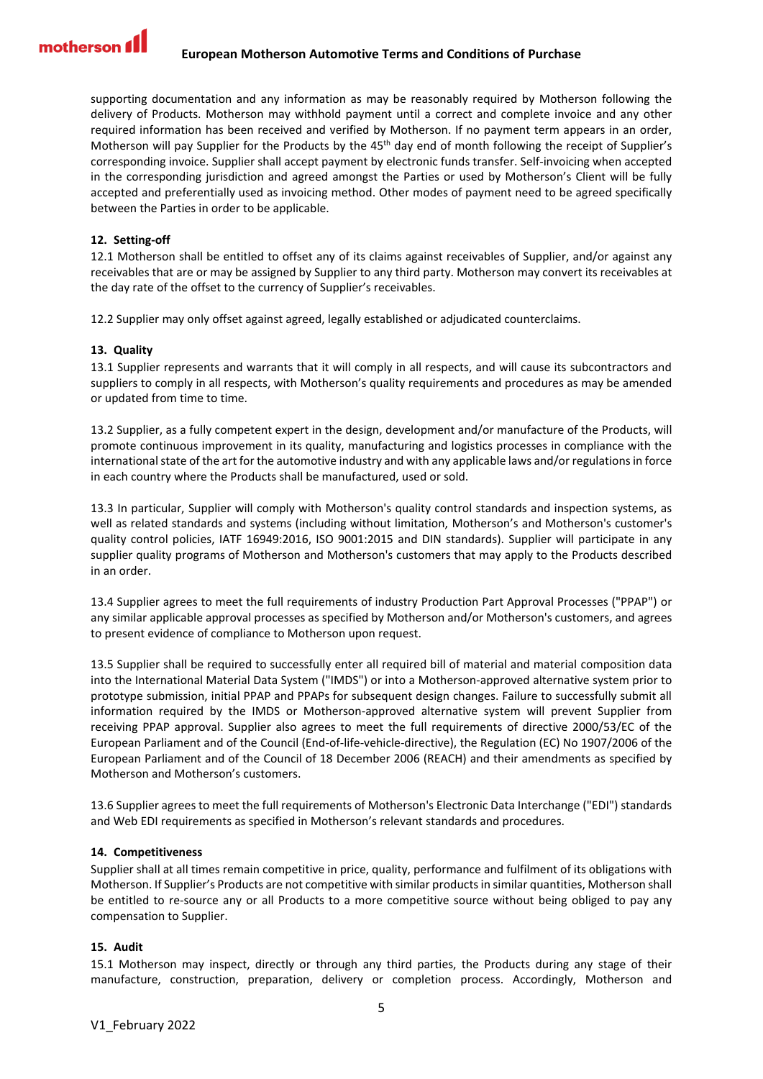supporting documentation and any information as may be reasonably required by Motherson following the delivery of Products. Motherson may withhold payment until a correct and complete invoice and any other required information has been received and verified by Motherson. If no payment term appears in an order, Motherson will pay Supplier for the Products by the 45th day end of month following the receipt of Supplier's corresponding invoice. Supplier shall accept payment by electronic funds transfer. Self-invoicing when accepted in the corresponding jurisdiction and agreed amongst the Parties or used by Motherson's Client will be fully accepted and preferentially used as invoicing method. Other modes of payment need to be agreed specifically between the Parties in order to be applicable.

## <span id="page-4-0"></span>**12. Setting-off**

12.1 Motherson shall be entitled to offset any of its claims against receivables of Supplier, and/or against any receivables that are or may be assigned by Supplier to any third party. Motherson may convert its receivables at the day rate of the offset to the currency of Supplier's receivables.

12.2 Supplier may only offset against agreed, legally established or adjudicated counterclaims.

## <span id="page-4-1"></span>**13. Quality**

13.1 Supplier represents and warrants that it will comply in all respects, and will cause its subcontractors and suppliers to comply in all respects, with Motherson's quality requirements and procedures as may be amended or updated from time to time.

13.2 Supplier, as a fully competent expert in the design, development and/or manufacture of the Products, will promote continuous improvement in its quality, manufacturing and logistics processes in compliance with the international state of the art for the automotive industry and with any applicable laws and/or regulations in force in each country where the Products shall be manufactured, used or sold.

13.3 In particular, Supplier will comply with Motherson's quality control standards and inspection systems, as well as related standards and systems (including without limitation, Motherson's and Motherson's customer's quality control policies, IATF 16949:2016, ISO 9001:2015 and DIN standards). Supplier will participate in any supplier quality programs of Motherson and Motherson's customers that may apply to the Products described in an order.

13.4 Supplier agrees to meet the full requirements of industry Production Part Approval Processes ("PPAP") or any similar applicable approval processes as specified by Motherson and/or Motherson's customers, and agrees to present evidence of compliance to Motherson upon request.

13.5 Supplier shall be required to successfully enter all required bill of material and material composition data into the International Material Data System ("IMDS") or into a Motherson-approved alternative system prior to prototype submission, initial PPAP and PPAPs for subsequent design changes. Failure to successfully submit all information required by the IMDS or Motherson-approved alternative system will prevent Supplier from receiving PPAP approval. Supplier also agrees to meet the full requirements of directive 2000/53/EC of the European Parliament and of the Council (End-of-life-vehicle-directive), the Regulation (EC) No 1907/2006 of the European Parliament and of the Council of 18 December 2006 (REACH) and their amendments as specified by Motherson and Motherson's customers.

13.6 Supplier agrees to meet the full requirements of Motherson's Electronic Data Interchange ("EDI") standards and Web EDI requirements as specified in Motherson's relevant standards and procedures.

## <span id="page-4-2"></span>**14. Competitiveness**

Supplier shall at all times remain competitive in price, quality, performance and fulfilment of its obligations with Motherson. If Supplier's Products are not competitive with similar products in similar quantities, Motherson shall be entitled to re-source any or all Products to a more competitive source without being obliged to pay any compensation to Supplier.

## <span id="page-4-3"></span>**15. Audit**

15.1 Motherson may inspect, directly or through any third parties, the Products during any stage of their manufacture, construction, preparation, delivery or completion process. Accordingly, Motherson and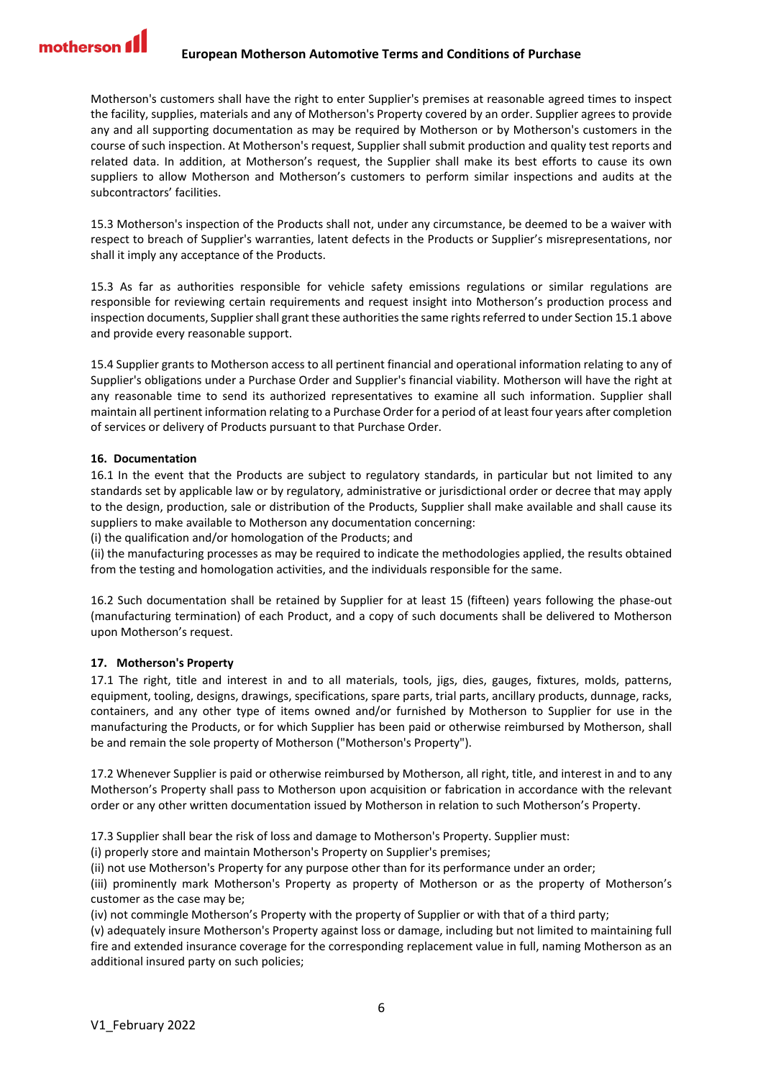Motherson's customers shall have the right to enter Supplier's premises at reasonable agreed times to inspect the facility, supplies, materials and any of Motherson's Property covered by an order. Supplier agrees to provide any and all supporting documentation as may be required by Motherson or by Motherson's customers in the course of such inspection. At Motherson's request, Supplier shall submit production and quality test reports and related data. In addition, at Motherson's request, the Supplier shall make its best efforts to cause its own suppliers to allow Motherson and Motherson's customers to perform similar inspections and audits at the subcontractors' facilities.

15.3 Motherson's inspection of the Products shall not, under any circumstance, be deemed to be a waiver with respect to breach of Supplier's warranties, latent defects in the Products or Supplier's misrepresentations, nor shall it imply any acceptance of the Products.

15.3 As far as authorities responsible for vehicle safety emissions regulations or similar regulations are responsible for reviewing certain requirements and request insight into Motherson's production process and inspection documents, Supplier shall grant these authorities the same rights referred to under Section 15.1 above and provide every reasonable support.

15.4 Supplier grants to Motherson access to all pertinent financial and operational information relating to any of Supplier's obligations under a Purchase Order and Supplier's financial viability. Motherson will have the right at any reasonable time to send its authorized representatives to examine all such information. Supplier shall maintain all pertinent information relating to a Purchase Order for a period of at least four years after completion of services or delivery of Products pursuant to that Purchase Order.

# <span id="page-5-0"></span>**16. Documentation**

16.1 In the event that the Products are subject to regulatory standards, in particular but not limited to any standards set by applicable law or by regulatory, administrative or jurisdictional order or decree that may apply to the design, production, sale or distribution of the Products, Supplier shall make available and shall cause its suppliers to make available to Motherson any documentation concerning:

(i) the qualification and/or homologation of the Products; and

(ii) the manufacturing processes as may be required to indicate the methodologies applied, the results obtained from the testing and homologation activities, and the individuals responsible for the same.

16.2 Such documentation shall be retained by Supplier for at least 15 (fifteen) years following the phase-out (manufacturing termination) of each Product, and a copy of such documents shall be delivered to Motherson upon Motherson's request.

## <span id="page-5-1"></span>**17. Motherson's Property**

17.1 The right, title and interest in and to all materials, tools, jigs, dies, gauges, fixtures, molds, patterns, equipment, tooling, designs, drawings, specifications, spare parts, trial parts, ancillary products, dunnage, racks, containers, and any other type of items owned and/or furnished by Motherson to Supplier for use in the manufacturing the Products, or for which Supplier has been paid or otherwise reimbursed by Motherson, shall be and remain the sole property of Motherson ("Motherson's Property").

17.2 Whenever Supplier is paid or otherwise reimbursed by Motherson, all right, title, and interest in and to any Motherson's Property shall pass to Motherson upon acquisition or fabrication in accordance with the relevant order or any other written documentation issued by Motherson in relation to such Motherson's Property.

17.3 Supplier shall bear the risk of loss and damage to Motherson's Property. Supplier must:

(i) properly store and maintain Motherson's Property on Supplier's premises;

(ii) not use Motherson's Property for any purpose other than for its performance under an order;

(iii) prominently mark Motherson's Property as property of Motherson or as the property of Motherson's customer as the case may be;

(iv) not commingle Motherson's Property with the property of Supplier or with that of a third party;

(v) adequately insure Motherson's Property against loss or damage, including but not limited to maintaining full fire and extended insurance coverage for the corresponding replacement value in full, naming Motherson as an additional insured party on such policies;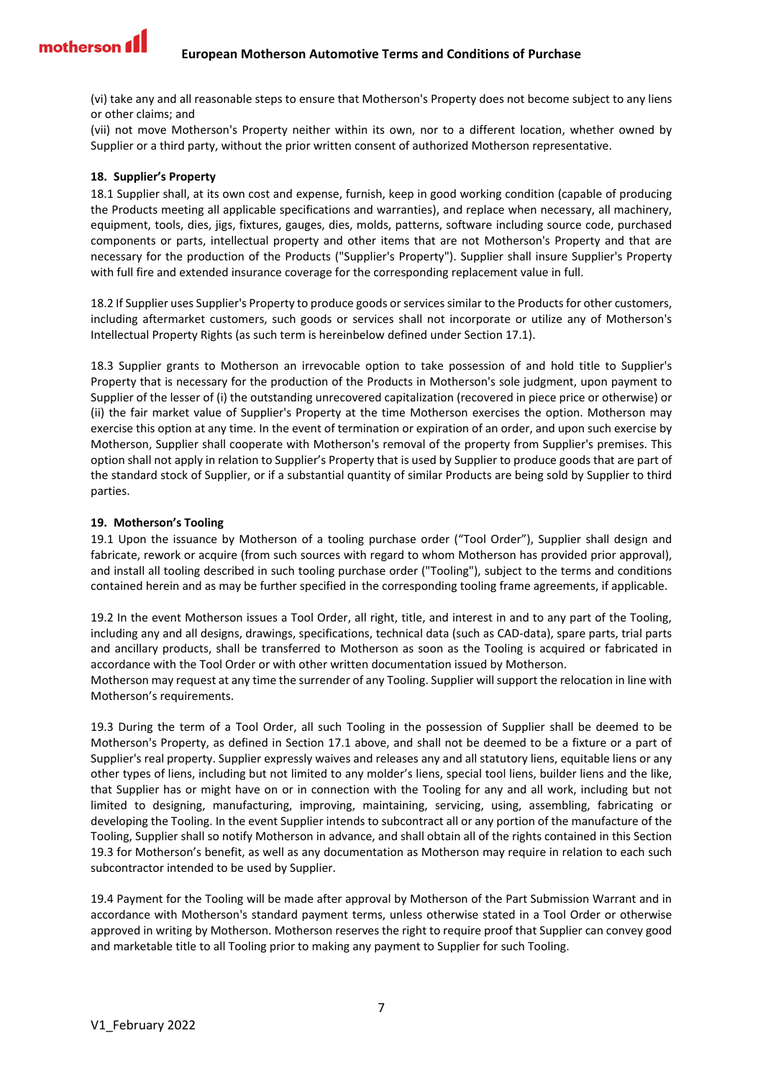(vi) take any and all reasonable steps to ensure that Motherson's Property does not become subject to any liens or other claims; and

(vii) not move Motherson's Property neither within its own, nor to a different location, whether owned by Supplier or a third party, without the prior written consent of authorized Motherson representative.

## <span id="page-6-0"></span>**18. Supplier's Property**

18.1 Supplier shall, at its own cost and expense, furnish, keep in good working condition (capable of producing the Products meeting all applicable specifications and warranties), and replace when necessary, all machinery, equipment, tools, dies, jigs, fixtures, gauges, dies, molds, patterns, software including source code, purchased components or parts, intellectual property and other items that are not Motherson's Property and that are necessary for the production of the Products ("Supplier's Property"). Supplier shall insure Supplier's Property with full fire and extended insurance coverage for the corresponding replacement value in full.

18.2 If Supplier uses Supplier's Property to produce goods or services similar to the Products for other customers, including aftermarket customers, such goods or services shall not incorporate or utilize any of Motherson's Intellectual Property Rights (as such term is hereinbelow defined under Section 17.1).

18.3 Supplier grants to Motherson an irrevocable option to take possession of and hold title to Supplier's Property that is necessary for the production of the Products in Motherson's sole judgment, upon payment to Supplier of the lesser of (i) the outstanding unrecovered capitalization (recovered in piece price or otherwise) or (ii) the fair market value of Supplier's Property at the time Motherson exercises the option. Motherson may exercise this option at any time. In the event of termination or expiration of an order, and upon such exercise by Motherson, Supplier shall cooperate with Motherson's removal of the property from Supplier's premises. This option shall not apply in relation to Supplier's Property that is used by Supplier to produce goods that are part of the standard stock of Supplier, or if a substantial quantity of similar Products are being sold by Supplier to third parties.

#### <span id="page-6-1"></span>**19. Motherson's Tooling**

19.1 Upon the issuance by Motherson of a tooling purchase order ("Tool Order"), Supplier shall design and fabricate, rework or acquire (from such sources with regard to whom Motherson has provided prior approval), and install all tooling described in such tooling purchase order ("Tooling"), subject to the terms and conditions contained herein and as may be further specified in the corresponding tooling frame agreements, if applicable.

19.2 In the event Motherson issues a Tool Order, all right, title, and interest in and to any part of the Tooling, including any and all designs, drawings, specifications, technical data (such as CAD-data), spare parts, trial parts and ancillary products, shall be transferred to Motherson as soon as the Tooling is acquired or fabricated in accordance with the Tool Order or with other written documentation issued by Motherson.

Motherson may request at any time the surrender of any Tooling. Supplier will support the relocation in line with Motherson's requirements.

19.3 During the term of a Tool Order, all such Tooling in the possession of Supplier shall be deemed to be Motherson's Property, as defined in Section 17.1 above, and shall not be deemed to be a fixture or a part of Supplier's real property. Supplier expressly waives and releases any and all statutory liens, equitable liens or any other types of liens, including but not limited to any molder's liens, special tool liens, builder liens and the like, that Supplier has or might have on or in connection with the Tooling for any and all work, including but not limited to designing, manufacturing, improving, maintaining, servicing, using, assembling, fabricating or developing the Tooling. In the event Supplier intends to subcontract all or any portion of the manufacture of the Tooling, Supplier shall so notify Motherson in advance, and shall obtain all of the rights contained in this Section 19.3 for Motherson's benefit, as well as any documentation as Motherson may require in relation to each such subcontractor intended to be used by Supplier.

19.4 Payment for the Tooling will be made after approval by Motherson of the Part Submission Warrant and in accordance with Motherson's standard payment terms, unless otherwise stated in a Tool Order or otherwise approved in writing by Motherson. Motherson reserves the right to require proof that Supplier can convey good and marketable title to all Tooling prior to making any payment to Supplier for such Tooling.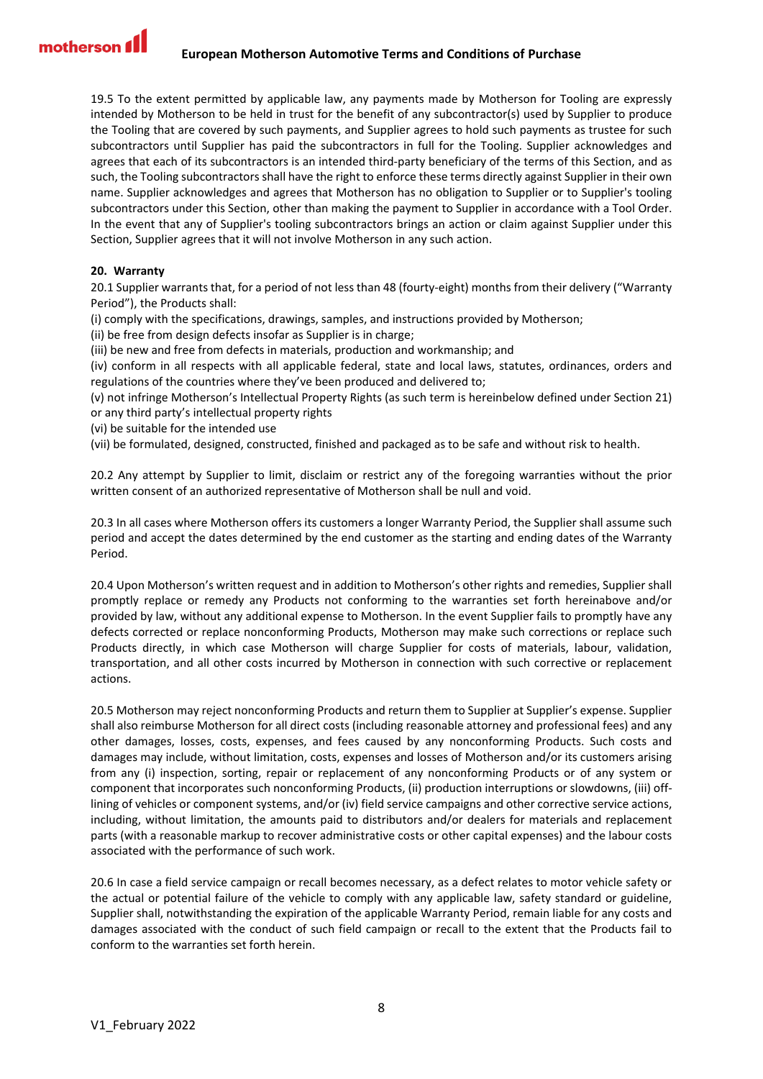19.5 To the extent permitted by applicable law, any payments made by Motherson for Tooling are expressly intended by Motherson to be held in trust for the benefit of any subcontractor(s) used by Supplier to produce the Tooling that are covered by such payments, and Supplier agrees to hold such payments as trustee for such subcontractors until Supplier has paid the subcontractors in full for the Tooling. Supplier acknowledges and agrees that each of its subcontractors is an intended third-party beneficiary of the terms of this Section, and as such, the Tooling subcontractors shall have the right to enforce these terms directly against Supplier in their own name. Supplier acknowledges and agrees that Motherson has no obligation to Supplier or to Supplier's tooling subcontractors under this Section, other than making the payment to Supplier in accordance with a Tool Order. In the event that any of Supplier's tooling subcontractors brings an action or claim against Supplier under this Section, Supplier agrees that it will not involve Motherson in any such action.

## <span id="page-7-0"></span>**20. Warranty**

20.1 Supplier warrants that, for a period of not less than 48 (fourty-eight) months from their delivery ("Warranty Period"), the Products shall:

(i) comply with the specifications, drawings, samples, and instructions provided by Motherson;

(ii) be free from design defects insofar as Supplier is in charge;

(iii) be new and free from defects in materials, production and workmanship; and

(iv) conform in all respects with all applicable federal, state and local laws, statutes, ordinances, orders and regulations of the countries where they've been produced and delivered to;

(v) not infringe Motherson's Intellectual Property Rights (as such term is hereinbelow defined under Section 21) or any third party's intellectual property rights

(vi) be suitable for the intended use

(vii) be formulated, designed, constructed, finished and packaged as to be safe and without risk to health.

20.2 Any attempt by Supplier to limit, disclaim or restrict any of the foregoing warranties without the prior written consent of an authorized representative of Motherson shall be null and void.

20.3 In all cases where Motherson offers its customers a longer Warranty Period, the Supplier shall assume such period and accept the dates determined by the end customer as the starting and ending dates of the Warranty Period.

20.4 Upon Motherson's written request and in addition to Motherson's other rights and remedies, Supplier shall promptly replace or remedy any Products not conforming to the warranties set forth hereinabove and/or provided by law, without any additional expense to Motherson. In the event Supplier fails to promptly have any defects corrected or replace nonconforming Products, Motherson may make such corrections or replace such Products directly, in which case Motherson will charge Supplier for costs of materials, labour, validation, transportation, and all other costs incurred by Motherson in connection with such corrective or replacement actions.

20.5 Motherson may reject nonconforming Products and return them to Supplier at Supplier's expense. Supplier shall also reimburse Motherson for all direct costs (including reasonable attorney and professional fees) and any other damages, losses, costs, expenses, and fees caused by any nonconforming Products. Such costs and damages may include, without limitation, costs, expenses and losses of Motherson and/or its customers arising from any (i) inspection, sorting, repair or replacement of any nonconforming Products or of any system or component that incorporates such nonconforming Products, (ii) production interruptions or slowdowns, (iii) offlining of vehicles or component systems, and/or (iv) field service campaigns and other corrective service actions, including, without limitation, the amounts paid to distributors and/or dealers for materials and replacement parts (with a reasonable markup to recover administrative costs or other capital expenses) and the labour costs associated with the performance of such work.

20.6 In case a field service campaign or recall becomes necessary, as a defect relates to motor vehicle safety or the actual or potential failure of the vehicle to comply with any applicable law, safety standard or guideline, Supplier shall, notwithstanding the expiration of the applicable Warranty Period, remain liable for any costs and damages associated with the conduct of such field campaign or recall to the extent that the Products fail to conform to the warranties set forth herein.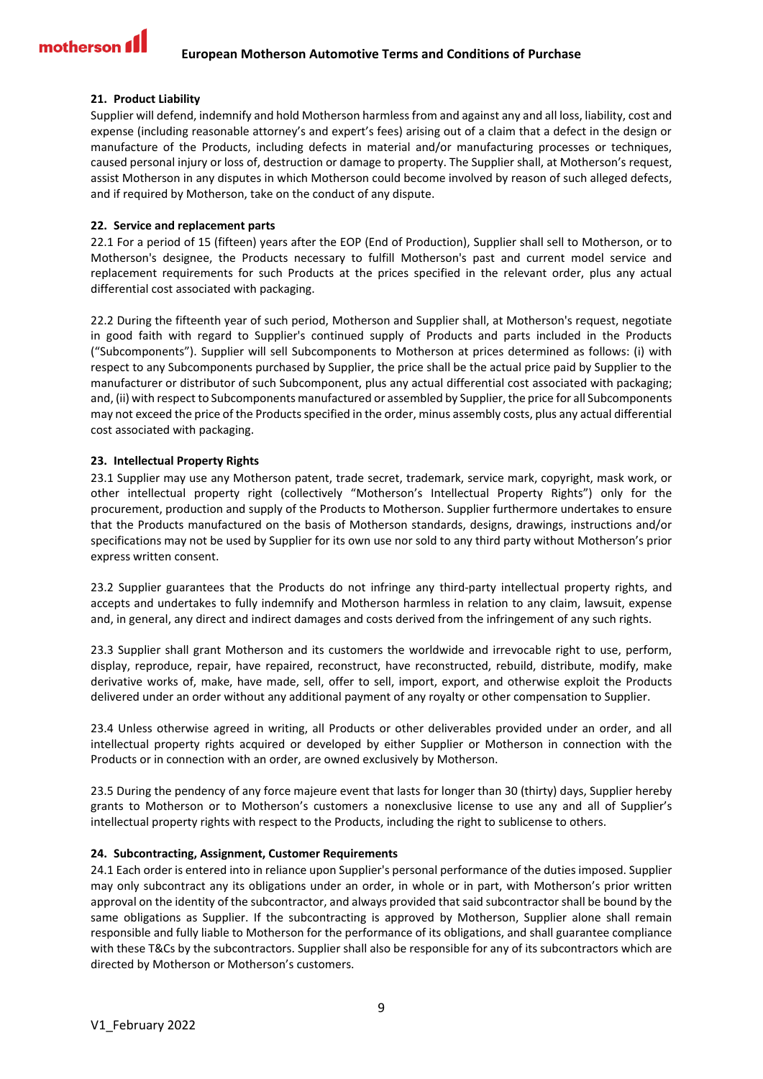## <span id="page-8-0"></span>**21. Product Liability**

Supplier will defend, indemnify and hold Motherson harmless from and against any and all loss, liability, cost and expense (including reasonable attorney's and expert's fees) arising out of a claim that a defect in the design or manufacture of the Products, including defects in material and/or manufacturing processes or techniques, caused personal injury or loss of, destruction or damage to property. The Supplier shall, at Motherson's request, assist Motherson in any disputes in which Motherson could become involved by reason of such alleged defects, and if required by Motherson, take on the conduct of any dispute.

#### <span id="page-8-1"></span>**22. Service and replacement parts**

22.1 For a period of 15 (fifteen) years after the EOP (End of Production), Supplier shall sell to Motherson, or to Motherson's designee, the Products necessary to fulfill Motherson's past and current model service and replacement requirements for such Products at the prices specified in the relevant order, plus any actual differential cost associated with packaging.

22.2 During the fifteenth year of such period, Motherson and Supplier shall, at Motherson's request, negotiate in good faith with regard to Supplier's continued supply of Products and parts included in the Products ("Subcomponents"). Supplier will sell Subcomponents to Motherson at prices determined as follows: (i) with respect to any Subcomponents purchased by Supplier, the price shall be the actual price paid by Supplier to the manufacturer or distributor of such Subcomponent, plus any actual differential cost associated with packaging; and, (ii) with respect to Subcomponents manufactured or assembled by Supplier, the price for all Subcomponents may not exceed the price of the Products specified in the order, minus assembly costs, plus any actual differential cost associated with packaging.

## <span id="page-8-2"></span>**23. Intellectual Property Rights**

23.1 Supplier may use any Motherson patent, trade secret, trademark, service mark, copyright, mask work, or other intellectual property right (collectively "Motherson's Intellectual Property Rights") only for the procurement, production and supply of the Products to Motherson. Supplier furthermore undertakes to ensure that the Products manufactured on the basis of Motherson standards, designs, drawings, instructions and/or specifications may not be used by Supplier for its own use nor sold to any third party without Motherson's prior express written consent.

23.2 Supplier guarantees that the Products do not infringe any third-party intellectual property rights, and accepts and undertakes to fully indemnify and Motherson harmless in relation to any claim, lawsuit, expense and, in general, any direct and indirect damages and costs derived from the infringement of any such rights.

23.3 Supplier shall grant Motherson and its customers the worldwide and irrevocable right to use, perform, display, reproduce, repair, have repaired, reconstruct, have reconstructed, rebuild, distribute, modify, make derivative works of, make, have made, sell, offer to sell, import, export, and otherwise exploit the Products delivered under an order without any additional payment of any royalty or other compensation to Supplier.

23.4 Unless otherwise agreed in writing, all Products or other deliverables provided under an order, and all intellectual property rights acquired or developed by either Supplier or Motherson in connection with the Products or in connection with an order, are owned exclusively by Motherson.

23.5 During the pendency of any force majeure event that lasts for longer than 30 (thirty) days, Supplier hereby grants to Motherson or to Motherson's customers a nonexclusive license to use any and all of Supplier's intellectual property rights with respect to the Products, including the right to sublicense to others.

## <span id="page-8-3"></span>**24. Subcontracting, Assignment, Customer Requirements**

24.1 Each order is entered into in reliance upon Supplier's personal performance of the duties imposed. Supplier may only subcontract any its obligations under an order, in whole or in part, with Motherson's prior written approval on the identity of the subcontractor, and always provided that said subcontractor shall be bound by the same obligations as Supplier. If the subcontracting is approved by Motherson, Supplier alone shall remain responsible and fully liable to Motherson for the performance of its obligations, and shall guarantee compliance with these T&Cs by the subcontractors. Supplier shall also be responsible for any of its subcontractors which are directed by Motherson or Motherson's customers.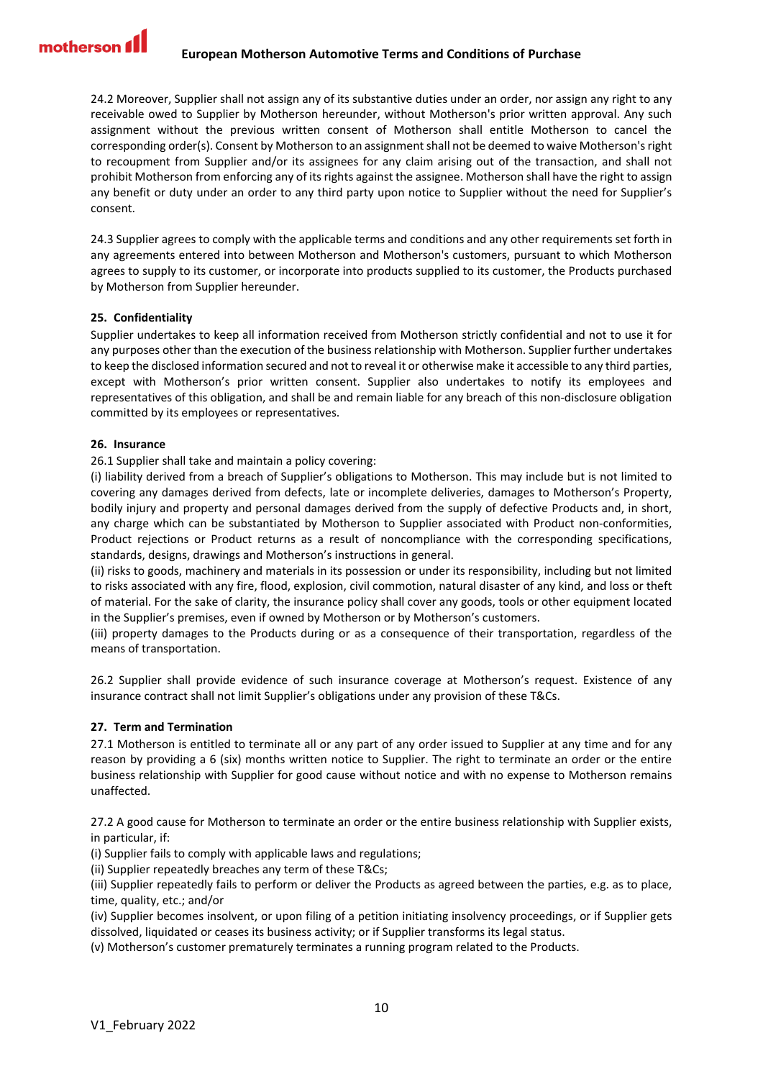24.2 Moreover, Supplier shall not assign any of its substantive duties under an order, nor assign any right to any receivable owed to Supplier by Motherson hereunder, without Motherson's prior written approval. Any such assignment without the previous written consent of Motherson shall entitle Motherson to cancel the corresponding order(s). Consent by Motherson to an assignment shall not be deemed to waive Motherson's right to recoupment from Supplier and/or its assignees for any claim arising out of the transaction, and shall not prohibit Motherson from enforcing any of its rights against the assignee. Motherson shall have the right to assign any benefit or duty under an order to any third party upon notice to Supplier without the need for Supplier's consent.

24.3 Supplier agrees to comply with the applicable terms and conditions and any other requirements set forth in any agreements entered into between Motherson and Motherson's customers, pursuant to which Motherson agrees to supply to its customer, or incorporate into products supplied to its customer, the Products purchased by Motherson from Supplier hereunder.

# <span id="page-9-0"></span>**25. Confidentiality**

Supplier undertakes to keep all information received from Motherson strictly confidential and not to use it for any purposes other than the execution of the business relationship with Motherson. Supplier further undertakes to keep the disclosed information secured and not to reveal it or otherwise make it accessible to any third parties, except with Motherson's prior written consent. Supplier also undertakes to notify its employees and representatives of this obligation, and shall be and remain liable for any breach of this non-disclosure obligation committed by its employees or representatives.

# <span id="page-9-1"></span>**26. Insurance**

26.1 Supplier shall take and maintain a policy covering:

(i) liability derived from a breach of Supplier's obligations to Motherson. This may include but is not limited to covering any damages derived from defects, late or incomplete deliveries, damages to Motherson's Property, bodily injury and property and personal damages derived from the supply of defective Products and, in short, any charge which can be substantiated by Motherson to Supplier associated with Product non-conformities, Product rejections or Product returns as a result of noncompliance with the corresponding specifications, standards, designs, drawings and Motherson's instructions in general.

(ii) risks to goods, machinery and materials in its possession or under its responsibility, including but not limited to risks associated with any fire, flood, explosion, civil commotion, natural disaster of any kind, and loss or theft of material. For the sake of clarity, the insurance policy shall cover any goods, tools or other equipment located in the Supplier's premises, even if owned by Motherson or by Motherson's customers.

(iii) property damages to the Products during or as a consequence of their transportation, regardless of the means of transportation.

26.2 Supplier shall provide evidence of such insurance coverage at Motherson's request. Existence of any insurance contract shall not limit Supplier's obligations under any provision of these T&Cs.

# <span id="page-9-2"></span>**27. Term and Termination**

27.1 Motherson is entitled to terminate all or any part of any order issued to Supplier at any time and for any reason by providing a 6 (six) months written notice to Supplier. The right to terminate an order or the entire business relationship with Supplier for good cause without notice and with no expense to Motherson remains unaffected.

27.2 A good cause for Motherson to terminate an order or the entire business relationship with Supplier exists, in particular, if:

(i) Supplier fails to comply with applicable laws and regulations;

(ii) Supplier repeatedly breaches any term of these T&Cs;

(iii) Supplier repeatedly fails to perform or deliver the Products as agreed between the parties, e.g. as to place, time, quality, etc.; and/or

(iv) Supplier becomes insolvent, or upon filing of a petition initiating insolvency proceedings, or if Supplier gets dissolved, liquidated or ceases its business activity; or if Supplier transforms its legal status.

(v) Motherson's customer prematurely terminates a running program related to the Products.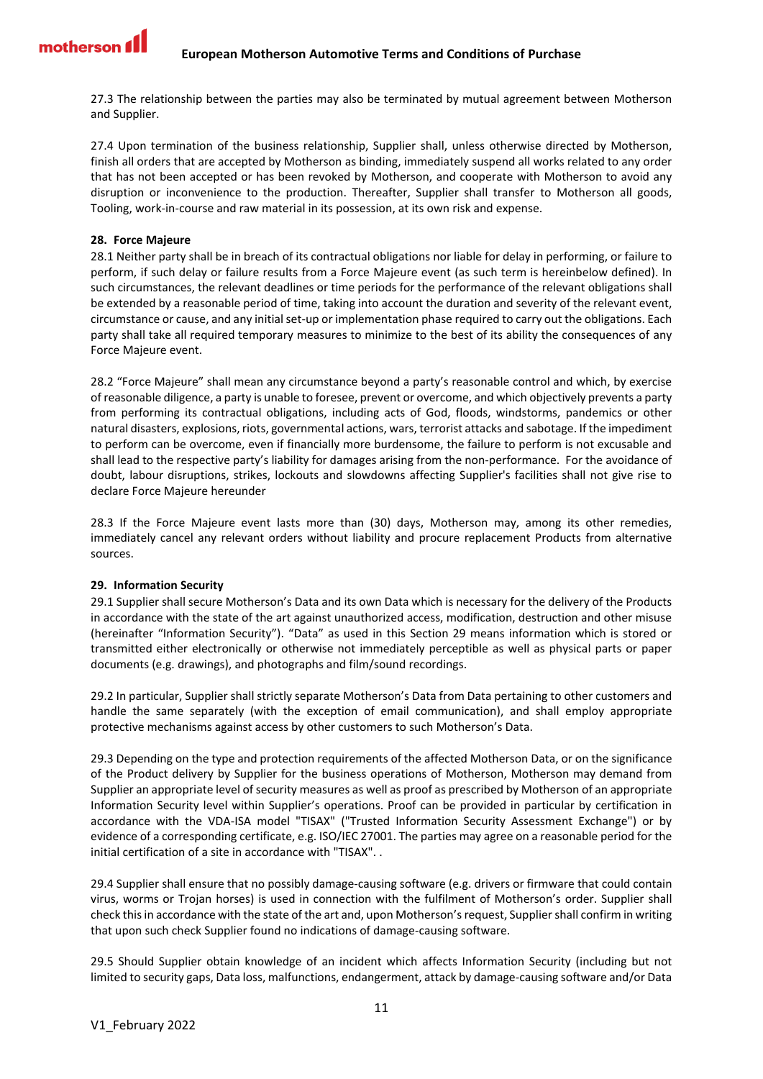27.3 The relationship between the parties may also be terminated by mutual agreement between Motherson and Supplier.

27.4 Upon termination of the business relationship, Supplier shall, unless otherwise directed by Motherson, finish all orders that are accepted by Motherson as binding, immediately suspend all works related to any order that has not been accepted or has been revoked by Motherson, and cooperate with Motherson to avoid any disruption or inconvenience to the production. Thereafter, Supplier shall transfer to Motherson all goods, Tooling, work-in-course and raw material in its possession, at its own risk and expense.

## <span id="page-10-0"></span>**28. Force Majeure**

28.1 Neither party shall be in breach of its contractual obligations nor liable for delay in performing, or failure to perform, if such delay or failure results from a Force Majeure event (as such term is hereinbelow defined). In such circumstances, the relevant deadlines or time periods for the performance of the relevant obligations shall be extended by a reasonable period of time, taking into account the duration and severity of the relevant event, circumstance or cause, and any initial set-up or implementation phase required to carry out the obligations. Each party shall take all required temporary measures to minimize to the best of its ability the consequences of any Force Majeure event.

28.2 "Force Majeure" shall mean any circumstance beyond a party's reasonable control and which, by exercise of reasonable diligence, a party is unable to foresee, prevent or overcome, and which objectively prevents a party from performing its contractual obligations, including acts of God, floods, windstorms, pandemics or other natural disasters, explosions, riots, governmental actions, wars, terrorist attacks and sabotage. If the impediment to perform can be overcome, even if financially more burdensome, the failure to perform is not excusable and shall lead to the respective party's liability for damages arising from the non-performance. For the avoidance of doubt, labour disruptions, strikes, lockouts and slowdowns affecting Supplier's facilities shall not give rise to declare Force Majeure hereunder

28.3 If the Force Majeure event lasts more than (30) days, Motherson may, among its other remedies, immediately cancel any relevant orders without liability and procure replacement Products from alternative sources.

## <span id="page-10-1"></span>**29. Information Security**

29.1 Supplier shall secure Motherson's Data and its own Data which is necessary for the delivery of the Products in accordance with the state of the art against unauthorized access, modification, destruction and other misuse (hereinafter "Information Security"). "Data" as used in this Section 29 means information which is stored or transmitted either electronically or otherwise not immediately perceptible as well as physical parts or paper documents (e.g. drawings), and photographs and film/sound recordings.

29.2 In particular, Supplier shall strictly separate Motherson's Data from Data pertaining to other customers and handle the same separately (with the exception of email communication), and shall employ appropriate protective mechanisms against access by other customers to such Motherson's Data.

29.3 Depending on the type and protection requirements of the affected Motherson Data, or on the significance of the Product delivery by Supplier for the business operations of Motherson, Motherson may demand from Supplier an appropriate level of security measures as well as proof as prescribed by Motherson of an appropriate Information Security level within Supplier's operations. Proof can be provided in particular by certification in accordance with the VDA-ISA model "TISAX" ("Trusted Information Security Assessment Exchange") or by evidence of a corresponding certificate, e.g. ISO/IEC 27001. The parties may agree on a reasonable period for the initial certification of a site in accordance with "TISAX". .

29.4 Supplier shall ensure that no possibly damage-causing software (e.g. drivers or firmware that could contain virus, worms or Trojan horses) is used in connection with the fulfilment of Motherson's order. Supplier shall check thisin accordance with the state of the art and, upon Motherson's request, Supplier shall confirm in writing that upon such check Supplier found no indications of damage-causing software.

29.5 Should Supplier obtain knowledge of an incident which affects Information Security (including but not limited to security gaps, Data loss, malfunctions, endangerment, attack by damage-causing software and/or Data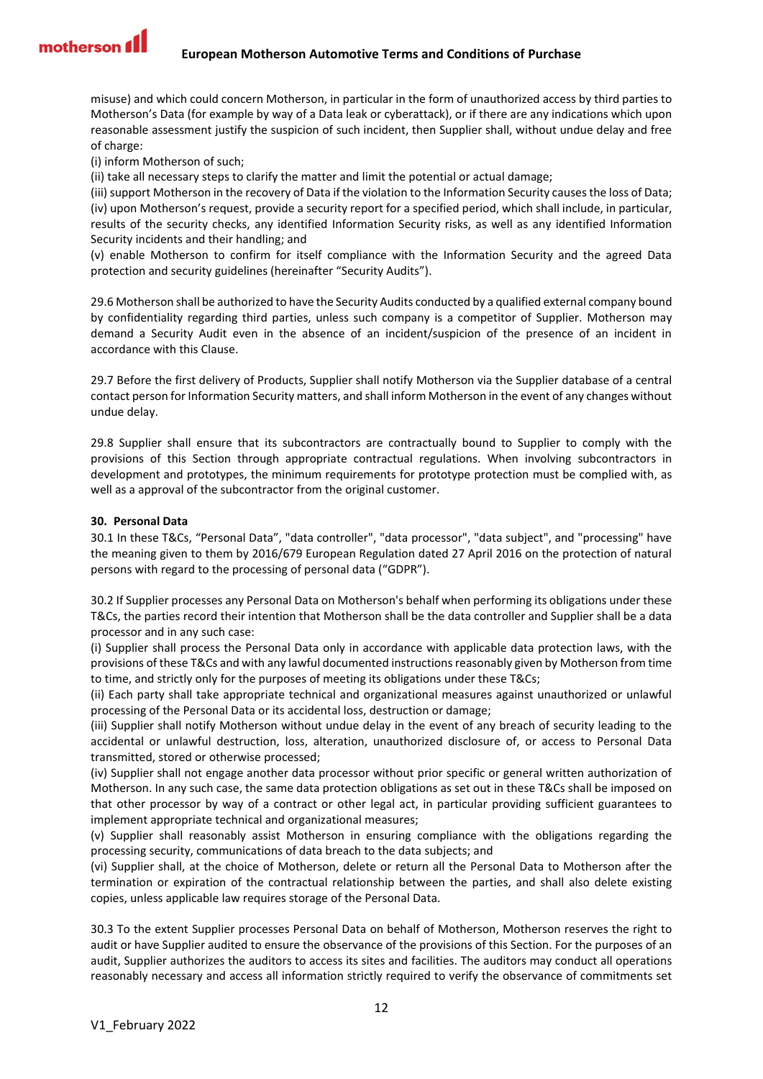

misuse) and which could concern Motherson, in particular in the form of unauthorized access by third parties to Motherson's Data (for example by way of a Data leak or cyberattack), or if there are any indications which upon reasonable assessment justify the suspicion of such incident, then Supplier shall, without undue delay and free of charge:

(i) inform Motherson of such;

(ii) take all necessary steps to clarify the matter and limit the potential or actual damage;

(iii) support Motherson in the recovery of Data if the violation to the Information Security causes the loss of Data; (iv) upon Motherson's request, provide a security report for a specified period, which shall include, in particular, results of the security checks, any identified Information Security risks, as well as any identified Information Security incidents and their handling; and

(v) enable Motherson to confirm for itself compliance with the Information Security and the agreed Data protection and security guidelines (hereinafter "Security Audits").

29.6 Motherson shall be authorized to have the Security Audits conducted by a qualified external company bound by confidentiality regarding third parties, unless such company is a competitor of Supplier. Motherson may demand a Security Audit even in the absence of an incident/suspicion of the presence of an incident in accordance with this Clause.

29.7 Before the first delivery of Products, Supplier shall notify Motherson via the Supplier database of a central contact person for Information Security matters, and shall inform Motherson in the event of any changes without undue delay.

29.8 Supplier shall ensure that its subcontractors are contractually bound to Supplier to comply with the provisions of this Section through appropriate contractual regulations. When involving subcontractors in development and prototypes, the minimum requirements for prototype protection must be complied with, as well as a approval of the subcontractor from the original customer.

## <span id="page-11-0"></span>**30. Personal Data**

30.1 In these T&Cs, "Personal Data", "data controller", "data processor", "data subject", and "processing" have the meaning given to them by 2016/679 European Regulation dated 27 April 2016 on the protection of natural persons with regard to the processing of personal data ("GDPR").

30.2 If Supplier processes any Personal Data on Motherson's behalf when performing its obligations under these T&Cs, the parties record their intention that Motherson shall be the data controller and Supplier shall be a data processor and in any such case:

(i) Supplier shall process the Personal Data only in accordance with applicable data protection laws, with the provisions of these T&Cs and with any lawful documented instructions reasonably given by Motherson from time to time, and strictly only for the purposes of meeting its obligations under these T&Cs;

(ii) Each party shall take appropriate technical and organizational measures against unauthorized or unlawful processing of the Personal Data or its accidental loss, destruction or damage;

(iii) Supplier shall notify Motherson without undue delay in the event of any breach of security leading to the accidental or unlawful destruction, loss, alteration, unauthorized disclosure of, or access to Personal Data transmitted, stored or otherwise processed;

(iv) Supplier shall not engage another data processor without prior specific or general written authorization of Motherson. In any such case, the same data protection obligations as set out in these T&Cs shall be imposed on that other processor by way of a contract or other legal act, in particular providing sufficient guarantees to implement appropriate technical and organizational measures;

(v) Supplier shall reasonably assist Motherson in ensuring compliance with the obligations regarding the processing security, communications of data breach to the data subjects; and

(vi) Supplier shall, at the choice of Motherson, delete or return all the Personal Data to Motherson after the termination or expiration of the contractual relationship between the parties, and shall also delete existing copies, unless applicable law requires storage of the Personal Data.

30.3 To the extent Supplier processes Personal Data on behalf of Motherson, Motherson reserves the right to audit or have Supplier audited to ensure the observance of the provisions of this Section. For the purposes of an audit, Supplier authorizes the auditors to access its sites and facilities. The auditors may conduct all operations reasonably necessary and access all information strictly required to verify the observance of commitments set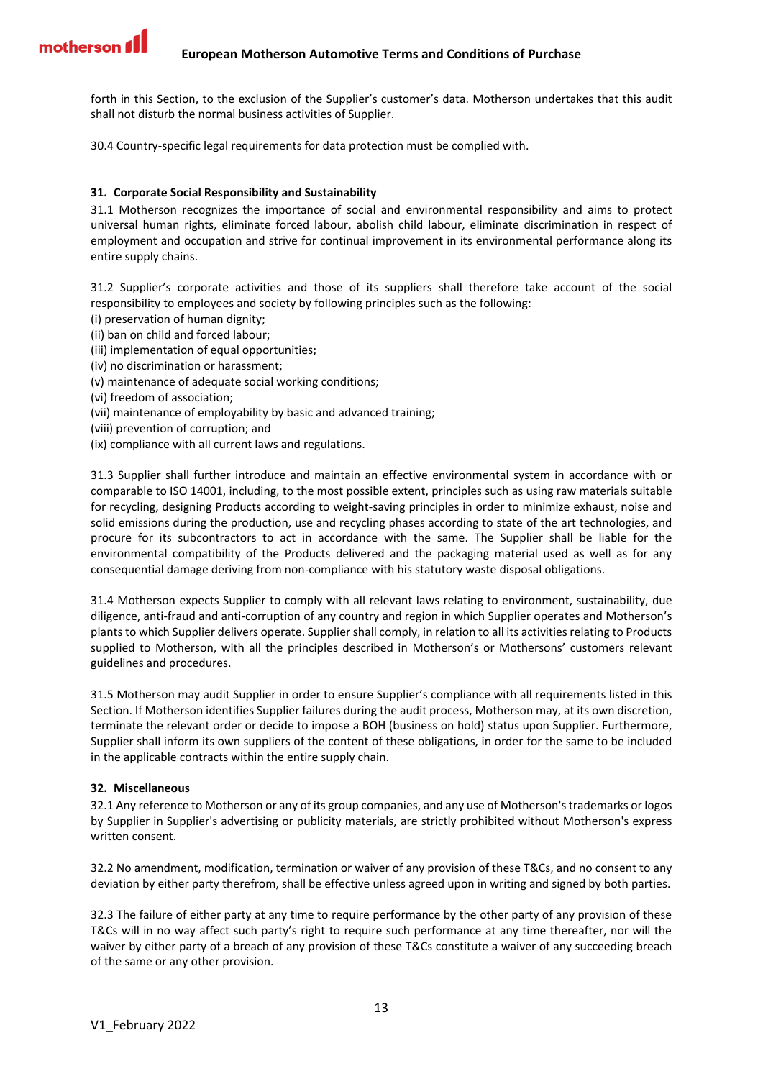forth in this Section, to the exclusion of the Supplier's customer's data. Motherson undertakes that this audit shall not disturb the normal business activities of Supplier.

30.4 Country-specific legal requirements for data protection must be complied with.

## <span id="page-12-0"></span>**31. Corporate Social Responsibility and Sustainability**

31.1 Motherson recognizes the importance of social and environmental responsibility and aims to protect universal human rights, eliminate forced labour, abolish child labour, eliminate discrimination in respect of employment and occupation and strive for continual improvement in its environmental performance along its entire supply chains.

31.2 Supplier's corporate activities and those of its suppliers shall therefore take account of the social responsibility to employees and society by following principles such as the following:

- (i) preservation of human dignity;
- (ii) ban on child and forced labour;
- (iii) implementation of equal opportunities;
- (iv) no discrimination or harassment;
- (v) maintenance of adequate social working conditions;
- (vi) freedom of association;
- (vii) maintenance of employability by basic and advanced training;
- (viii) prevention of corruption; and
- (ix) compliance with all current laws and regulations.

31.3 Supplier shall further introduce and maintain an effective environmental system in accordance with or comparable to ISO 14001, including, to the most possible extent, principles such as using raw materials suitable for recycling, designing Products according to weight-saving principles in order to minimize exhaust, noise and solid emissions during the production, use and recycling phases according to state of the art technologies, and procure for its subcontractors to act in accordance with the same. The Supplier shall be liable for the environmental compatibility of the Products delivered and the packaging material used as well as for any consequential damage deriving from non-compliance with his statutory waste disposal obligations.

31.4 Motherson expects Supplier to comply with all relevant laws relating to environment, sustainability, due diligence, anti-fraud and anti-corruption of any country and region in which Supplier operates and Motherson's plants to which Supplier delivers operate. Supplier shall comply, in relation to all its activities relating to Products supplied to Motherson, with all the principles described in Motherson's or Mothersons' customers relevant guidelines and procedures.

31.5 Motherson may audit Supplier in order to ensure Supplier's compliance with all requirements listed in this Section. If Motherson identifies Supplier failures during the audit process, Motherson may, at its own discretion, terminate the relevant order or decide to impose a BOH (business on hold) status upon Supplier. Furthermore, Supplier shall inform its own suppliers of the content of these obligations, in order for the same to be included in the applicable contracts within the entire supply chain.

## <span id="page-12-1"></span>**32. Miscellaneous**

32.1 Any reference to Motherson or any of its group companies, and any use of Motherson'strademarks or logos by Supplier in Supplier's advertising or publicity materials, are strictly prohibited without Motherson's express written consent.

32.2 No amendment, modification, termination or waiver of any provision of these T&Cs, and no consent to any deviation by either party therefrom, shall be effective unless agreed upon in writing and signed by both parties.

32.3 The failure of either party at any time to require performance by the other party of any provision of these T&Cs will in no way affect such party's right to require such performance at any time thereafter, nor will the waiver by either party of a breach of any provision of these T&Cs constitute a waiver of any succeeding breach of the same or any other provision.